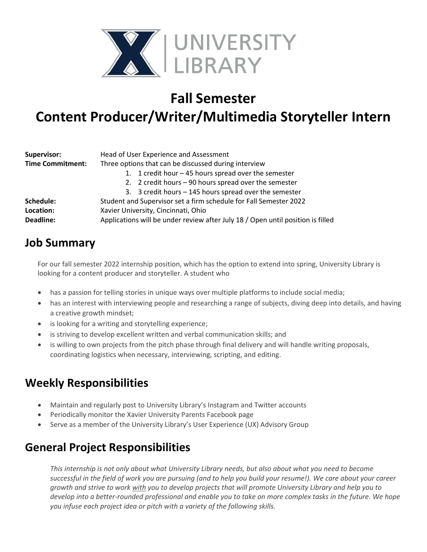

## **Fall Semester**

# **Content Producer/Writer/Multimedia Storyteller Intern**

| Supervisor:             | Head of User Experience and Assessment                                          |
|-------------------------|---------------------------------------------------------------------------------|
| <b>Time Commitment:</b> | Three options that can be discussed during interview                            |
|                         | 1. 1 credit hour - 45 hours spread over the semester                            |
|                         | 2. 2 credit hours – 90 hours spread over the semester                           |
|                         | 3. 3 credit hours - 145 hours spread over the semester                          |
| Schedule:               | Student and Supervisor set a firm schedule for Fall Semester 2022               |
| Location:               | Xavier University, Cincinnati, Ohio                                             |
| Deadline:               | Applications will be under review after July 18 / Open until position is filled |

#### **Job Summary**

For our fall semester 2022 internship position, which has the option to extend into spring, University Library is looking for a content producer and storyteller. A student who

- has a passion for telling stories in unique ways over multiple platforms to include social media;
- has an interest with interviewing people and researching a range of subjects, diving deep into details, and having a creative growth mindset;
- is looking for a writing and storytelling experience;
- is striving to develop excellent written and verbal communication skills; and
- is willing to own projects from the pitch phase through final delivery and will handle writing proposals, coordinating logistics when necessary, interviewing, scripting, and editing.

## **Weekly Responsibilities**

- Maintain and regularly post to University Library's Instagram and Twitter accounts
- Periodically monitor the Xavier University Parents Facebook page
- Serve as a member of the University Library's User Experience (UX) Advisory Group

## **General Project Responsibilities**

*This internship is not only about what University Library needs, but also about what you need to become successful in the field of work you are pursuing (and to help you build your resume!). We care about your career growth and strive to work with you to develop projects that will promote University Library and help you to develop into a better-rounded professional and enable you to take on more complex tasks in the future. We hope you infuse each project idea or pitch with a variety of the following skills.*